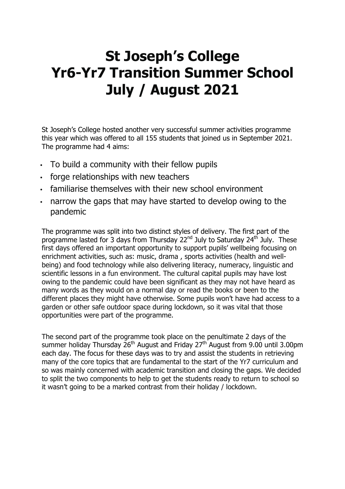## **St Joseph's College Yr6-Yr7 Transition Summer School July / August 2021**

St Joseph's College hosted another very successful summer activities programme this year which was offered to all 155 students that joined us in September 2021. The programme had 4 aims:

- To build a community with their fellow pupils
- forge relationships with new teachers
- familiarise themselves with their new school environment
- narrow the gaps that may have started to develop owing to the pandemic

The programme was split into two distinct styles of delivery. The first part of the programme lasted for 3 days from Thursday  $22^{nd}$  July to Saturday 24<sup>th</sup> July. These first days offered an important opportunity to support pupils' wellbeing focusing on enrichment activities, such as: music, drama , sports activities (health and wellbeing) and food technology while also delivering literacy, numeracy, linguistic and scientific lessons in a fun environment. The cultural capital pupils may have lost owing to the pandemic could have been significant as they may not have heard as many words as they would on a normal day or read the books or been to the different places they might have otherwise. Some pupils won't have had access to a garden or other safe outdoor space during lockdown, so it was vital that those opportunities were part of the programme.

The second part of the programme took place on the penultimate 2 days of the summer holiday Thursday  $26<sup>th</sup>$  August and Friday 27<sup>th</sup> August from 9.00 until 3.00pm each day. The focus for these days was to try and assist the students in retrieving many of the core topics that are fundamental to the start of the Yr7 curriculum and so was mainly concerned with academic transition and closing the gaps. We decided to split the two components to help to get the students ready to return to school so it wasn't going to be a marked contrast from their holiday / lockdown.